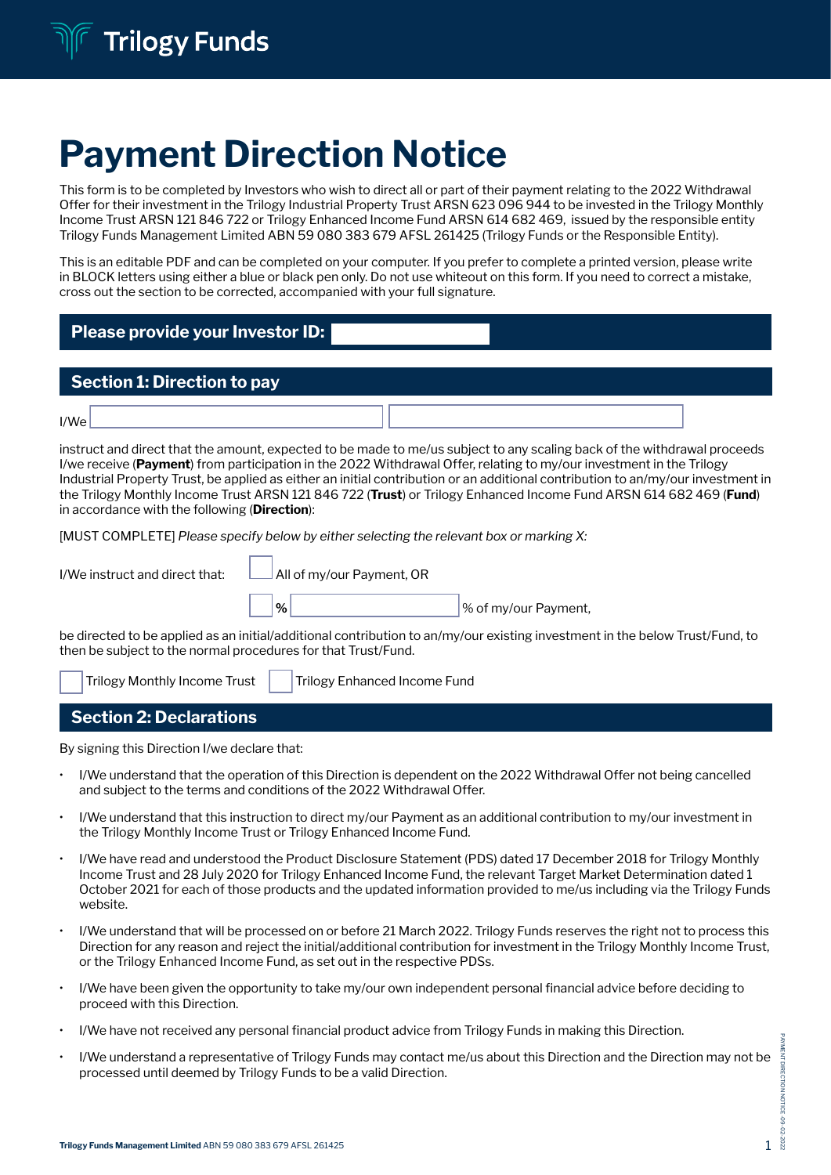# Payment Direction Notice

This form is to be completed by Investors who wish to direct all or part of their payment relating to the 2022 Withdrawal Offer for their investment in the Trilogy Industrial Property Trust ARSN 623 096 944 to be invested in the Trilogy Monthly Income Trust ARSN 121 846 722 or Trilogy Enhanced Income Fund ARSN 614 682 469, issued by the responsible entity Trilogy Funds Management Limited ABN 59 080 383 679 AFSL 261425 (Trilogy Funds or the Responsible Entity).

This is an editable PDF and can be completed on your computer. If you prefer to complete a printed version, please write in BLOCK letters using either a blue or black pen only. Do not use whiteout on this form. If you need to correct a mistake, cross out the section to be corrected, accompanied with your full signature.

# Please provide your Investor ID:

## Section 1: Direction to pay

instruct and direct that the amount, expected to be made to me/us subject to any scaling back of the withdrawal proceeds I/we receive (Payment) from participation in the 2022 Withdrawal Offer, relating to my/our investment in the Trilogy Industrial Property Trust, be applied as either an initial contribution or an additional contribution to an/my/our investment in the Trilogy Monthly Income Trust ARSN 121 846 722 (Trust) or Trilogy Enhanced Income Fund ARSN 614 682 469 (Fund) in accordance with the following (**Direction**):

[MUST COMPLETE] *Please specify below by either selecting the relevant box or marking X:*

| I/We instruct and direct that:                                | All of my/our Payment, OR           |                                                                                                                              |  |  |
|---------------------------------------------------------------|-------------------------------------|------------------------------------------------------------------------------------------------------------------------------|--|--|
|                                                               | $\%$                                | % of my/our Payment,                                                                                                         |  |  |
| then be subject to the normal procedures for that Trust/Fund. |                                     | be directed to be applied as an initial/additional contribution to an/my/our existing investment in the below Trust/Fund, to |  |  |
| Trilogy Monthly Income Trust                                  | <b>Trilogy Enhanced Income Fund</b> |                                                                                                                              |  |  |

Section 2: Declarations

By signing this Direction I/we declare that:

- I/We understand that the operation of this Direction is dependent on the 2022 Withdrawal Offer not being cancelled and subject to the terms and conditions of the 2022 Withdrawal Offer.
- I/We understand that this instruction to direct my/our Payment as an additional contribution to my/our investment in the Trilogy Monthly Income Trust or Trilogy Enhanced Income Fund.
- I/We have read and understood the Product Disclosure Statement (PDS) dated 17 December 2018 for Trilogy Monthly Income Trust and 28 July 2020 for Trilogy Enhanced Income Fund, the relevant Target Market Determination dated 1 October 2021 for each of those products and the updated information provided to me/us including via the Trilogy Funds website.
- I/We understand that will be processed on or before 21 March 2022. Trilogy Funds reserves the right not to process this Direction for any reason and reject the initial/additional contribution for investment in the Trilogy Monthly Income Trust, or the Trilogy Enhanced Income Fund, as set out in the respective PDSs.
- I/We have been given the opportunity to take my/our own independent personal financial advice before deciding to proceed with this Direction.
- I/We have not received any personal financial product advice from Trilogy Funds in making this Direction.
- I/We understand a representative of Trilogy Funds may contact me/us about this Direction and the Direction may not be processed until deemed by Trilogy Funds to be a valid Direction.